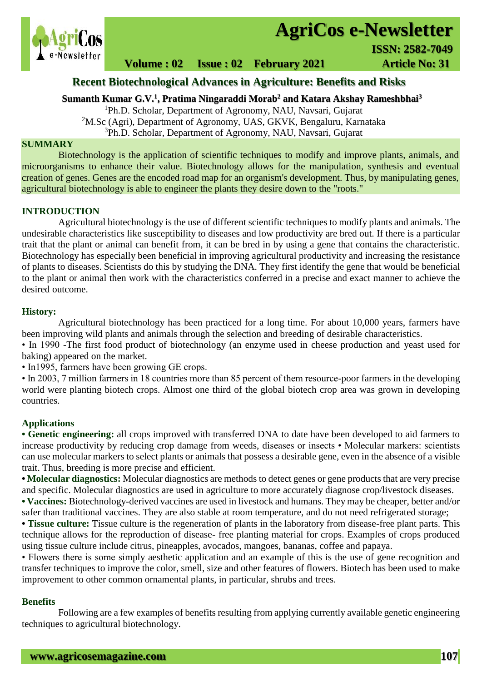

# **AgriCos e-Newsletter**

 **I ISSN: 2582-7049**

## **Volume : 02 Issue : 02 February 2021 4rticle No: 31**

## **Recent Biotechnological Advances in Agriculture: Benefits and Risks**

## **Sumanth Kumar G.V.<sup>1</sup> , Pratima Ningaraddi Morab<sup>2</sup> and Katara Akshay Rameshbhai<sup>3</sup>**

<sup>1</sup>Ph.D. Scholar, Department of Agronomy, NAU, Navsari, Gujarat <sup>2</sup>M.Sc (Agri), Department of Agronomy, UAS, GKVK, Bengaluru, Karnataka <sup>3</sup>Ph.D. Scholar, Department of Agronomy, NAU, Navsari, Gujarat

#### **SUMMARY**

 Biotechnology is the application of scientific techniques to modify and improve plants, animals, and microorganisms to enhance their value. Biotechnology allows for the manipulation, synthesis and eventual creation of genes. Genes are the encoded road map for an organism's development. Thus, by manipulating genes, agricultural biotechnology is able to engineer the plants they desire down to the "roots."

#### **INTRODUCTION**

Agricultural biotechnology is the use of different scientific techniques to modify plants and animals. The undesirable characteristics like susceptibility to diseases and low productivity are bred out. If there is a particular trait that the plant or animal can benefit from, it can be bred in by using a gene that contains the characteristic. Biotechnology has especially been beneficial in improving agricultural productivity and increasing the resistance of plants to diseases. Scientists do this by studying the DNA. They first identify the gene that would be beneficial to the plant or animal then work with the characteristics conferred in a precise and exact manner to achieve the desired outcome.

#### **History:**

Agricultural biotechnology has been practiced for a long time. For about 10,000 years, farmers have been improving wild plants and animals through the selection and breeding of desirable characteristics.

• In 1990 -The first food product of biotechnology (an enzyme used in cheese production and yeast used for baking) appeared on the market.

• In1995, farmers have been growing GE crops.

• In 2003, 7 million farmers in 18 countries more than 85 percent of them resource-poor farmers in the developing world were planting biotech crops. Almost one third of the global biotech crop area was grown in developing countries.

## **Applications**

**• Genetic engineering:** all crops improved with transferred DNA to date have been developed to aid farmers to increase productivity by reducing crop damage from weeds, diseases or insects • Molecular markers: scientists can use molecular markers to select plants or animals that possess a desirable gene, even in the absence of a visible trait. Thus, breeding is more precise and efficient.

**• Molecular diagnostics:** Molecular diagnostics are methods to detect genes or gene products that are very precise and specific. Molecular diagnostics are used in agriculture to more accurately diagnose crop/livestock diseases.

**• Vaccines:** Biotechnology-derived vaccines are used in livestock and humans. They may be cheaper, better and/or safer than traditional vaccines. They are also stable at room temperature, and do not need refrigerated storage;

**• Tissue culture:** Tissue culture is the regeneration of plants in the laboratory from disease-free plant parts. This technique allows for the reproduction of disease- free planting material for crops. Examples of crops produced using tissue culture include citrus, pineapples, avocados, mangoes, bananas, coffee and papaya.

• Flowers there is some simply aesthetic application and an example of this is the use of gene recognition and transfer techniques to improve the color, smell, size and other features of flowers. Biotech has been used to make improvement to other common ornamental plants, in particular, shrubs and trees.

#### **Benefits**

Following are a few examples of benefits resulting from applying currently available genetic engineering techniques to agricultural biotechnology.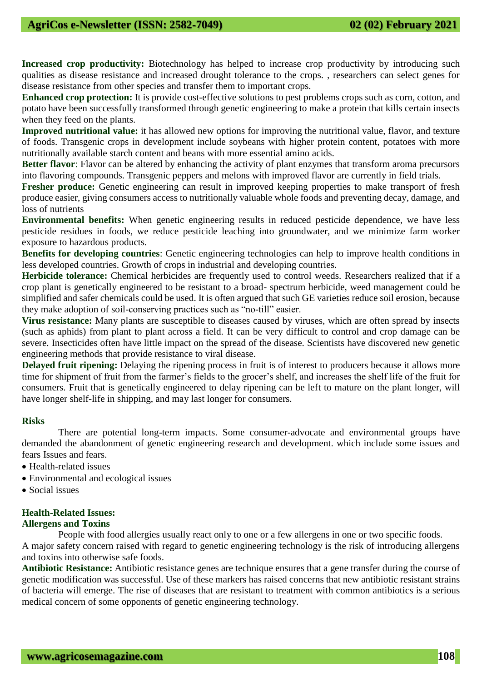**Increased crop productivity:** Biotechnology has helped to increase crop productivity by introducing such qualities as disease resistance and increased drought tolerance to the crops. , researchers can select genes for disease resistance from other species and transfer them to important crops.

**Enhanced crop protection:** It is provide cost-effective solutions to pest problems crops such as corn, cotton, and potato have been successfully transformed through genetic engineering to make a protein that kills certain insects when they feed on the plants.

**Improved nutritional value:** it has allowed new options for improving the nutritional value, flavor, and texture of foods. Transgenic crops in development include soybeans with higher protein content, potatoes with more nutritionally available starch content and beans with more essential amino acids.

**Better flavor**: Flavor can be altered by enhancing the activity of plant enzymes that transform aroma precursors into flavoring compounds. Transgenic peppers and melons with improved flavor are currently in field trials.

**Fresher produce:** Genetic engineering can result in improved keeping properties to make transport of fresh produce easier, giving consumers access to nutritionally valuable whole foods and preventing decay, damage, and loss of nutrients

**Environmental benefits:** When genetic engineering results in reduced pesticide dependence, we have less pesticide residues in foods, we reduce pesticide leaching into groundwater, and we minimize farm worker exposure to hazardous products.

**Benefits for developing countries**: Genetic engineering technologies can help to improve health conditions in less developed countries. Growth of crops in industrial and developing countries.

**Herbicide tolerance:** Chemical herbicides are frequently used to control weeds. Researchers realized that if a crop plant is genetically engineered to be resistant to a broad- spectrum herbicide, weed management could be simplified and safer chemicals could be used. It is often argued that such GE varieties reduce soil erosion, because they make adoption of soil-conserving practices such as "no-till" easier.

**Virus resistance:** Many plants are susceptible to diseases caused by viruses, which are often spread by insects (such as aphids) from plant to plant across a field. It can be very difficult to control and crop damage can be severe. Insecticides often have little impact on the spread of the disease. Scientists have discovered new genetic engineering methods that provide resistance to viral disease.

**Delayed fruit ripening:** Delaying the ripening process in fruit is of interest to producers because it allows more time for shipment of fruit from the farmer's fields to the grocer's shelf, and increases the shelf life of the fruit for consumers. Fruit that is genetically engineered to delay ripening can be left to mature on the plant longer, will have longer shelf-life in shipping, and may last longer for consumers.

## **Risks**

There are potential long-term impacts. Some consumer-advocate and environmental groups have demanded the abandonment of genetic engineering research and development. which include some issues and fears Issues and fears.

- Health-related issues
- Environmental and ecological issues
- Social issues

## **Health-Related Issues:**

## **Allergens and Toxins**

People with food allergies usually react only to one or a few allergens in one or two specific foods. A major safety concern raised with regard to genetic engineering technology is the risk of introducing allergens and toxins into otherwise safe foods.

**Antibiotic Resistance:** Antibiotic resistance genes are technique ensures that a gene transfer during the course of genetic modification was successful. Use of these markers has raised concerns that new antibiotic resistant strains of bacteria will emerge. The rise of diseases that are resistant to treatment with common antibiotics is a serious medical concern of some opponents of genetic engineering technology.